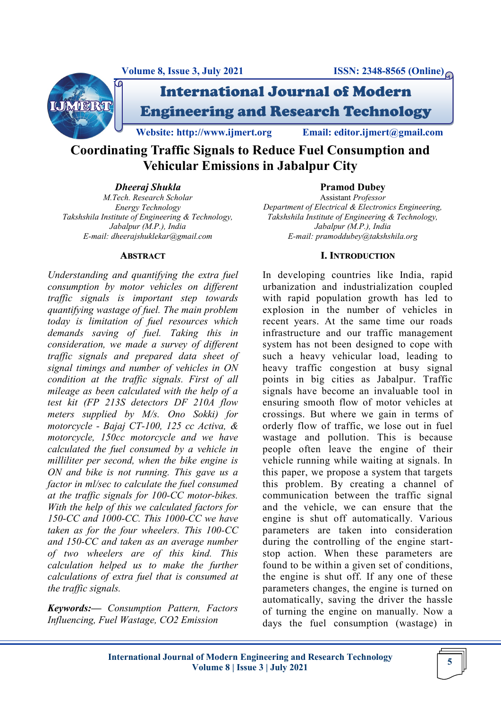

International Journal of Modern Engineering and Research Technology

**Website: http://www.ijmert.org Email: editor.ijmert@gmail.com**

**Coordinating Traffic Signals to Reduce Fuel Consumption and Vehicular Emissions in Jabalpur City**

*Dheeraj Shukla*

**Pramod Dubey**

*M.Tech. Research Scholar Energy Technology Takshshila Institute of Engineering & Technology, Jabalpur (M.P.), India E-mail: dheerajshuklekar@gmail.com*

#### **ABSTRACT**

*Understanding and quantifying the extra fuel consumption by motor vehicles on different traffic signals is important step towards quantifying wastage of fuel. The main problem today is limitation of fuel resources which demands saving of fuel. Taking this in consideration, we made a survey of different traffic signals and prepared data sheet of signal timings and number of vehicles in ON condition at the traffic signals. First of all mileage as been calculated with the help of a test kit (FP 213S detectors DF 210A flow meters supplied by M/s. Ono Sokki) for motorcycle - Bajaj CT-100, 125 cc Activa, & motorcycle, 150cc motorcycle and we have calculated the fuel consumed by a vehicle in milliliter per second, when the bike engine is ON and bike is not running. This gave us a factor in ml/sec to calculate the fuel consumed at the traffic signals for 100-CC motor-bikes. With the help of this we calculated factors for 150-CC and 1000-CC. This 1000-CC we have taken as for the four wheelers. This 100-CC and 150-CC and taken as an average number of two wheelers are of this kind. This calculation helped us to make the further calculations of extra fuel that is consumed at the traffic signals.* 

*Keywords:— Consumption Pattern, Factors Influencing, Fuel Wastage, CO2 Emission*

Assistant *Professor Department of Electrical & Electronics Engineering, Takshshila Institute of Engineering & Technology, Jabalpur (M.P.), India E-mail: pramoddubey@takshshila.org*

# **I. INTRODUCTION**

In developing countries like India, rapid urbanization and industrialization coupled with rapid population growth has led to explosion in the number of vehicles in recent years. At the same time our roads infrastructure and our traffic management system has not been designed to cope with such a heavy vehicular load, leading to heavy traffic congestion at busy signal points in big cities as Jabalpur. Traffic signals have become an invaluable tool in ensuring smooth flow of motor vehicles at crossings. But where we gain in terms of orderly flow of traffic, we lose out in fuel wastage and pollution. This is because people often leave the engine of their vehicle running while waiting at signals. In this paper, we propose a system that targets this problem. By creating a channel of communication between the traffic signal and the vehicle, we can ensure that the engine is shut off automatically. Various parameters are taken into consideration during the controlling of the engine startstop action. When these parameters are found to be within a given set of conditions, the engine is shut off. If any one of these parameters changes, the engine is turned on automatically, saving the driver the hassle of turning the engine on manually. Now a days the fuel consumption (wastage) in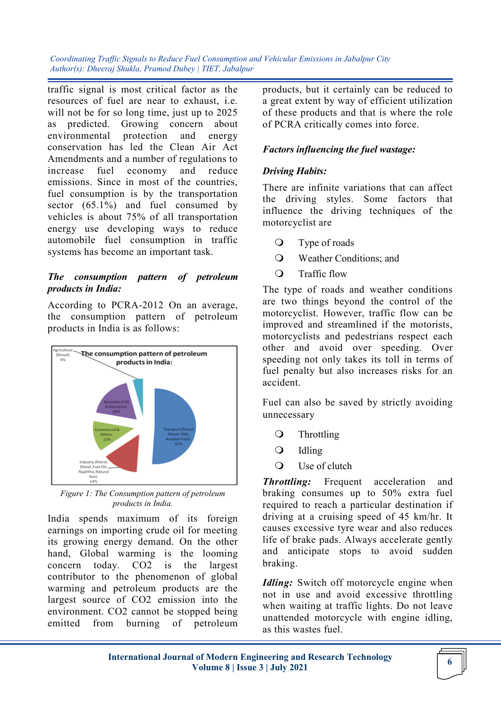traffic signal is most critical factor as the resources of fuel are near to exhaust, i.e. will not be for so long time, just up to 2025 as predicted. Growing concern about environmental protection and energy conservation has led the Clean Air Act Amendments and a number of regulations to increase fuel economy and reduce emissions. Since in most of the countries, fuel consumption is by the transportation sector (65.1%) and fuel consumed by vehicles is about 75% of all transportation energy use developing ways to reduce automobile fuel consumption in traffic systems has become an important task.

## *The consumption pattern of petroleum products in India:*

According to PCRA-2012 On an average, the consumption pattern of petroleum products in India is as follows:



*Figure 1: The Consumption pattern of petroleum products in India.*

India spends maximum of its foreign earnings on importing crude oil for meeting its growing energy demand. On the other hand, Global warming is the looming concern today. CO2 is the largest contributor to the phenomenon of global warming and petroleum products are the largest source of CO2 emission into the environment. CO2 cannot be stopped being emitted from burning of petroleum

products, but it certainly can be reduced to a great extent by way of efficient utilization of these products and that is where the role of PCRA critically comes into force.

# *Factors influencing the fuel wastage:*

### *Driving Habits:*

There are infinite variations that can affect the driving styles. Some factors that influence the driving techniques of the motorcyclist are

- Type of roads
- Weather Conditions; and
- Traffic flow

The type of roads and weather conditions are two things beyond the control of the motorcyclist. However, traffic flow can be improved and streamlined if the motorists, motorcyclists and pedestrians respect each other and avoid over speeding. Over speeding not only takes its toll in terms of fuel penalty but also increases risks for an accident.

Fuel can also be saved by strictly avoiding unnecessary

- **Q** Throttling
- $\bigcirc$  Idling
- Use of clutch

*Throttling:* Frequent acceleration and braking consumes up to 50% extra fuel required to reach a particular destination if driving at a cruising speed of 45 km/hr. It causes excessive tyre wear and also reduces life of brake pads. Always accelerate gently and anticipate stops to avoid sudden braking.

*Idling:* Switch off motorcycle engine when not in use and avoid excessive throttling when waiting at traffic lights. Do not leave unattended motorcycle with engine idling, as this wastes fuel.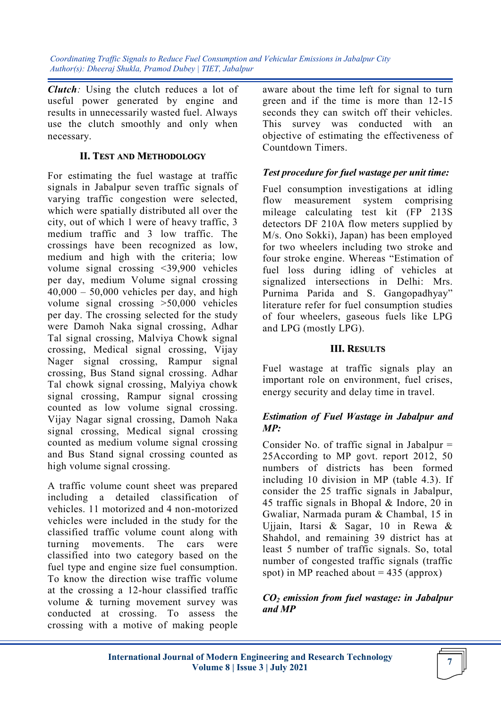*Clutch:* Using the clutch reduces a lot of useful power generated by engine and results in unnecessarily wasted fuel. Always use the clutch smoothly and only when necessary.

## **II. TEST AND METHODOLOGY**

For estimating the fuel wastage at traffic signals in Jabalpur seven traffic signals of varying traffic congestion were selected, which were spatially distributed all over the city, out of which 1 were of heavy traffic, 3 medium traffic and 3 low traffic. The crossings have been recognized as low, medium and high with the criteria; low volume signal crossing <39,900 vehicles per day, medium Volume signal crossing  $40,000 - 50,000$  vehicles per day, and high volume signal crossing >50,000 vehicles per day. The crossing selected for the study were Damoh Naka signal crossing, Adhar Tal signal crossing, Malviya Chowk signal crossing, Medical signal crossing, Vijay Nager signal crossing, Rampur signal crossing, Bus Stand signal crossing. Adhar Tal chowk signal crossing, Malyiya chowk signal crossing, Rampur signal crossing counted as low volume signal crossing. Vijay Nagar signal crossing, Damoh Naka signal crossing, Medical signal crossing counted as medium volume signal crossing and Bus Stand signal crossing counted as high volume signal crossing.

A traffic volume count sheet was prepared including a detailed classification of vehicles. 11 motorized and 4 non-motorized vehicles were included in the study for the classified traffic volume count along with turning movements. The cars were classified into two category based on the fuel type and engine size fuel consumption. To know the direction wise traffic volume at the crossing a 12-hour classified traffic volume & turning movement survey was conducted at crossing. To assess the crossing with a motive of making people

aware about the time left for signal to turn green and if the time is more than 12-15 seconds they can switch off their vehicles. This survey was conducted with an objective of estimating the effectiveness of Countdown Timers.

### *Test procedure for fuel wastage per unit time:*

Fuel consumption investigations at idling flow measurement system comprising mileage calculating test kit (FP 213S detectors DF 210A flow meters supplied by M/s. Ono Sokki), Japan) has been employed for two wheelers including two stroke and four stroke engine. Whereas "Estimation of fuel loss during idling of vehicles at signalized intersections in Delhi: Mrs. Purnima Parida and S. Gangopadhyay" literature refer for fuel consumption studies of four wheelers, gaseous fuels like LPG and LPG (mostly LPG).

#### **III. RESULTS**

Fuel wastage at traffic signals play an important role on environment, fuel crises, energy security and delay time in travel.

# *Estimation of Fuel Wastage in Jabalpur and MP:*

Consider No. of traffic signal in Jabalpur = 25According to MP govt. report 2012, 50 numbers of districts has been formed including 10 division in MP (table 4.3). If consider the 25 traffic signals in Jabalpur, 45 traffic signals in Bhopal & Indore, 20 in Gwaliar, Narmada puram & Chambal, 15 in Ujjain, Itarsi & Sagar, 10 in Rewa & Shahdol, and remaining 39 district has at least 5 number of traffic signals. So, total number of congested traffic signals (traffic spot) in MP reached about  $= 435$  (approx)

# *CO<sup>2</sup> emission from fuel wastage: in Jabalpur and MP*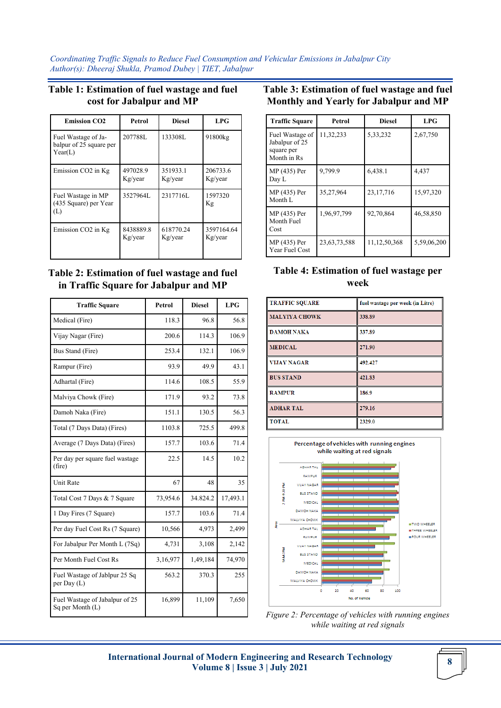#### **Table 1: Estimation of fuel wastage and fuel cost for Jabalpur and MP**

| <b>Emission CO2</b>                                       | Petrol               | <b>Diesel</b>        | LPG                   |
|-----------------------------------------------------------|----------------------|----------------------|-----------------------|
| Fuel Wastage of Ja-<br>balpur of 25 square per<br>Year(L) | 207788L              | 133308L              | 91800kg               |
| Emission CO2 in Kg                                        | 497028.9<br>Kg/year  | 351933.1<br>Kg/year  | 206733.6<br>Kg/year   |
| Fuel Wastage in MP<br>(435 Square) per Year<br>(L)        | 3527964L             | 2317716L             | 1597320<br>Kg         |
| Emission CO2 in Kg                                        | 8438889.8<br>Kg/year | 618770.24<br>Kg/year | 3597164.64<br>Kg/year |

#### **Table 2: Estimation of fuel wastage and fuel in Traffic Square for Jabalpur and MP**

| <b>Traffic Square</b>                              | <b>Petrol</b> | <b>Diesel</b> | <b>LPG</b> |
|----------------------------------------------------|---------------|---------------|------------|
| Medical (Fire)                                     | 118.3         | 96.8          | 56.8       |
| Vijay Nagar (Fire)                                 | 200.6         | 114.3         | 106.9      |
| Bus Stand (Fire)                                   | 253.4         | 132.1         | 106.9      |
| Rampur (Fire)                                      | 93.9          | 49.9          | 43.1       |
| Adhartal (Fire)                                    | 114.6         | 108.5         | 55.9       |
| Malviya Chowk (Fire)                               | 171.9         | 93.2          | 73.8       |
| Damoh Naka (Fire)                                  | 151.1         | 130.5         | 56.3       |
| Total (7 Days Data) (Fires)                        | 1103.8        | 725.5         | 499.8      |
| Average (7 Days Data) (Fires)                      | 157.7         | 103.6         | 71.4       |
| Per day per square fuel wastage<br>(fire)          | 22.5          | 14.5          | 10.2       |
| <b>Unit Rate</b>                                   | 67            | 48            | 35         |
| Total Cost 7 Days & 7 Square                       | 73,954.6      | 34.824.2      | 17,493.1   |
| 1 Day Fires (7 Square)                             | 157.7         | 103.6         | 71.4       |
| Per day Fuel Cost Rs (7 Square)                    | 10,566        | 4,973         | 2,499      |
| For Jabalpur Per Month L (7Sq)                     | 4,731         | 3,108         | 2,142      |
| Per Month Fuel Cost Rs                             | 3,16,977      | 1,49,184      | 74,970     |
| Fuel Wastage of Jablpur 25 Sq<br>per Day (L)       | 563.2         | 370.3         | 255        |
| Fuel Wastage of Jabalpur of 25<br>Sq per Month (L) | 16,899        | 11,109        | 7,650      |

#### **Table 3: Estimation of fuel wastage and fuel Monthly and Yearly for Jabalpur and MP**

| <b>Traffic Square</b>                                          | Petrol          | <b>Diesel</b> | LPG         |
|----------------------------------------------------------------|-----------------|---------------|-------------|
| Fuel Wastage of<br>Jabalpur of 25<br>square per<br>Month in Rs | 11,32,233       | 5, 33, 232    | 2,67,750    |
| MP (435) Per<br>Day L                                          | 9,799.9         | 6,438.1       | 4,437       |
| MP (435) Per<br>Month L                                        | 35,27,964       | 23,17,716     | 15,97,320   |
| MP (435) Per<br>Month Fuel<br>Cost                             | 1,96,97,799     | 92,70,864     | 46,58,850   |
| MP (435) Per<br>Year Fuel Cost                                 | 23, 63, 73, 588 | 11,12,50,368  | 5,59,06,200 |

### **Table 4: Estimation of fuel wastage per week**

| <b>TRAFFIC SQUARE</b> | fuel wastage per week (in Litre) |
|-----------------------|----------------------------------|
| <b>MALYIYA CHOWK</b>  | 338.89                           |
| <b>DAMOH NAKA</b>     | 337.89                           |
| <b>MEDICAL</b>        | 271.90                           |
| <b>VIJAY NAGAR</b>    | 492.427                          |
| <b>BUS STAND</b>      | 421.83                           |
| <b>RAMPUR</b>         | 186.9                            |
| <b>ADHAR TAL</b>      | 279.16                           |
| <b>TOTAL</b>          | 2329.0                           |



*Figure 2: Percentage of vehicles with running engines while waiting at red signals*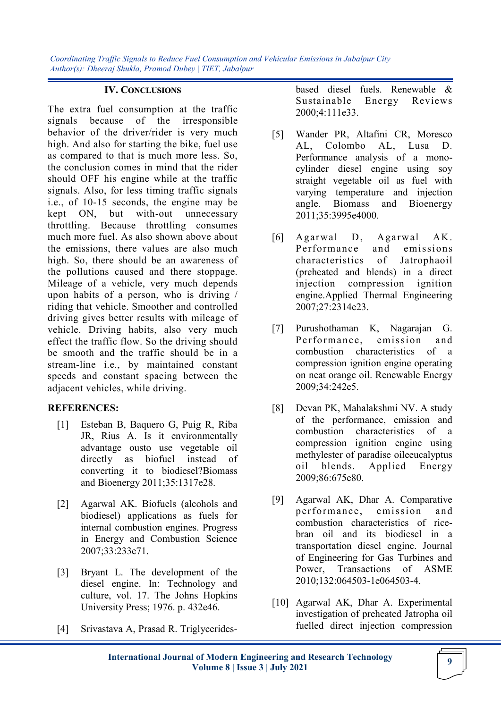#### **IV. CONCLUSIONS**

The extra fuel consumption at the traffic signals because of the irresponsible behavior of the driver/rider is very much high. And also for starting the bike, fuel use as compared to that is much more less. So, the conclusion comes in mind that the rider should OFF his engine while at the traffic signals. Also, for less timing traffic signals i.e., of 10-15 seconds, the engine may be kept ON, but with-out unnecessary throttling. Because throttling consumes much more fuel. As also shown above about the emissions, there values are also much high. So, there should be an awareness of the pollutions caused and there stoppage. Mileage of a vehicle, very much depends upon habits of a person, who is driving / riding that vehicle. Smoother and controlled driving gives better results with mileage of vehicle. Driving habits, also very much effect the traffic flow. So the driving should be smooth and the traffic should be in a stream-line i.e., by maintained constant speeds and constant spacing between the adjacent vehicles, while driving.

### **REFERENCES:**

- [1] Esteban B, Baquero G, Puig R, Riba JR, Rius A. Is it environmentally advantage ousto use vegetable oil directly as biofuel instead of converting it to biodiesel?Biomass and Bioenergy 2011;35:1317e28.
- [2] Agarwal AK. Biofuels (alcohols and biodiesel) applications as fuels for internal combustion engines. Progress in Energy and Combustion Science 2007;33:233e71.
- [3] Bryant L. The development of the diesel engine. In: Technology and culture, vol. 17. The Johns Hopkins University Press; 1976. p. 432e46.
- [4] Srivastava A, Prasad R. Triglycerides-

based diesel fuels. Renewable & Sustainable Energy Reviews 2000;4:111e33.

- [5] Wander PR, Altafini CR, Moresco AL, Colombo AL, Lusa D. Performance analysis of a monocylinder diesel engine using soy straight vegetable oil as fuel with varying temperature and injection angle. Biomass and Bioenergy 2011;35:3995e4000.
- [6] Agarwal D, Agarwal AK. Performance and emissions characteristics of Jatrophaoil (preheated and blends) in a direct injection compression ignition engine.Applied Thermal Engineering 2007;27:2314e23.
- [7] Purushothaman K, Nagarajan G. Performance, emission and combustion characteristics of a compression ignition engine operating on neat orange oil. Renewable Energy 2009;34:242e5.
- [8] Devan PK, Mahalakshmi NV. A study of the performance, emission and combustion characteristics of a compression ignition engine using methylester of paradise oileeucalyptus oil blends. Applied Energy 2009;86:675e80.
- [9] Agarwal AK, Dhar A. Comparative performance, emission and combustion characteristics of ricebran oil and its biodiesel in a transportation diesel engine. Journal of Engineering for Gas Turbines and Power, Transactions of ASME 2010;132:064503-1e064503-4.
- [10] Agarwal AK, Dhar A. Experimental investigation of preheated Jatropha oil fuelled direct injection compression